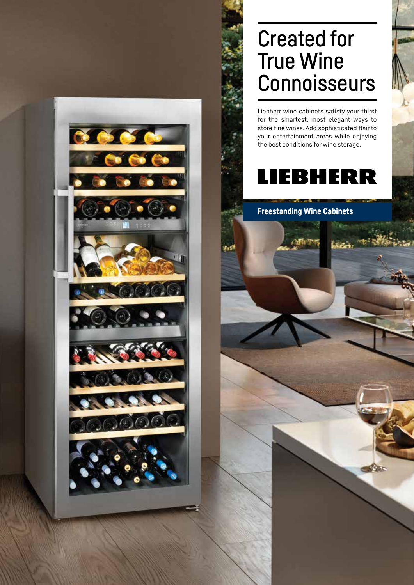# Created for True Wine **Connoisseurs**

Liebherr wine cabinets satisfy your thirst for the smartest, most elegant ways to store fine wines. Add sophisticated flair to your entertainment areas while enjoying the best conditions for wine storage.

 $\bullet \bullet \bullet$ 

# **LIEBHERR**

**CITY OF BRIDE** 

Freestanding Wine Cabinets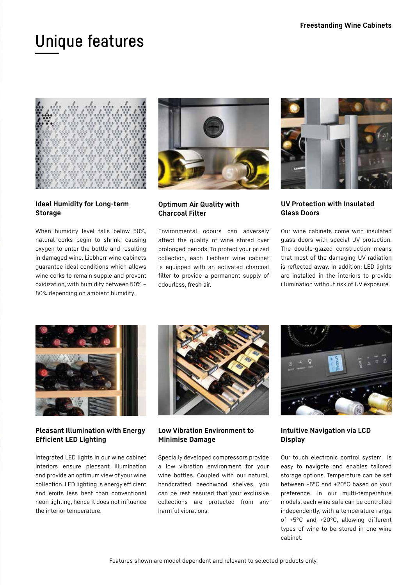# Unique features ---



**Ideal Humidity for Long-term Storage** 

When humidity level falls below 50%, natural corks begin to shrink, causing oxygen to enter the bottle and resulting in damaged wine. Liebherr wine cabinets guarantee ideal conditions which allows wine corks to remain supple and prevent oxidization, with humidity between 50% – 80% depending on ambient humidity.



#### **Optimum Air Quality with Charcoal Filter**

Environmental odours can adversely affect the quality of wine stored over prolonged periods. To protect your prized collection, each Liebherr wine cabinet is equipped with an activated charcoal filter to provide a permanent supply of odourless, fresh air.



**UV Protection with Insulated Glass Doors**

Our wine cabinets come with insulated glass doors with special UV protection. The double-glazed construction means that most of the damaging UV radiation is reflected away. In addition, LED lights are installed in the interiors to provide illumination without risk of UV exposure.



#### **Pleasant Illumination with Energy Efficient LED Lighting**

Integrated LED lights in our wine cabinet interiors ensure pleasant illumination and provide an optimum view of your wine collection. LED lighting is energy efficient and emits less heat than conventional neon lighting, hence it does not influence the interior temperature.



#### **Low Vibration Environment to Minimise Damage**

Specially developed compressors provide a low vibration environment for your wine bottles. Coupled with our natural, handcrafted beechwood shelves, you can be rest assured that your exclusive collections are protected from any harmful vibrations.



**Intuitive Navigation via LCD Display**

Our touch electronic control system is easy to navigate and enables tailored storage options. Temperature can be set between +5°C and +20°C based on your preference. In our multi-temperature models, each wine safe can be controlled independently, with a temperature range of +5°C and +20°C, allowing different types of wine to be stored in one wine cabinet.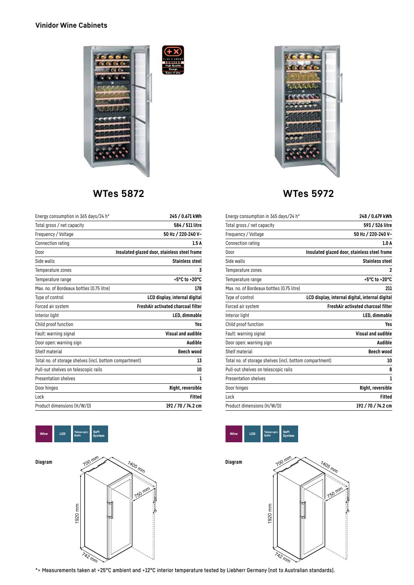#### **Vinidor Wine Cabinets**



### **WTes 5872**

| Energy consumption in 365 days/24 h*                    | 245 / 0.671 kWh                              |
|---------------------------------------------------------|----------------------------------------------|
| Total gross / net capacity                              | 584 / 511 litre                              |
| Frequency / Voltage                                     | 50 Hz / 220-240 V~                           |
| <b>Connection rating</b>                                | 1.5A                                         |
| Door                                                    | Insulated glazed door, stainless steel frame |
| Side walls                                              | <b>Stainless steel</b>                       |
| Temperature zones                                       | 3                                            |
| Temperature range                                       | +5°C to +20°C                                |
| Max, no. of Bordeaux bottles (0.75 litre)               | 178                                          |
| Type of control                                         | LCD display, internal digital                |
| Forced air system                                       | <b>FreshAir activated charcoal filter</b>    |
| Interior light                                          | LED, dimmable                                |
| Child proof function                                    | Yes                                          |
| Fault: warning signal                                   | <b>Visual and audible</b>                    |
| Door open: warning sign                                 | Audible                                      |
| Shelf material                                          | <b>Beech wood</b>                            |
| Total no. of storage shelves (incl. bottom compartment) | 13                                           |
| Pull-out shelves on telescopic rails                    | 10                                           |
| <b>Presentation shelves</b>                             | ı                                            |
| Door hinges                                             | Right, reversible                            |
| Lock                                                    | <b>Fitted</b>                                |
| Product dimensions (H/W/D)                              | 192 / 70 / 74.2 cm                           |









### **WTes 5972**

| Total gross / net capacity<br>Frequency / Voltage<br>Connection rating<br>Door<br>Side walls<br>Temperature zones<br>Temperature range<br>Max, no. of Bordeaux bottles (0.75 litre)<br>Type of control<br>Forced air system<br>Interior light<br>Child proof function<br>Fault: warning signal<br>Door open: warning sign<br>Shelf material<br>Total no. of storage shelves (incl. bottom compartment)<br>Pull-out shelves on telescopic rails<br><b>Presentation shelves</b><br>Door hinges<br>Lock | 248 / 0.679 kWh                                 | Energy consumption in 365 days/24 h* |
|------------------------------------------------------------------------------------------------------------------------------------------------------------------------------------------------------------------------------------------------------------------------------------------------------------------------------------------------------------------------------------------------------------------------------------------------------------------------------------------------------|-------------------------------------------------|--------------------------------------|
|                                                                                                                                                                                                                                                                                                                                                                                                                                                                                                      | 593 / 526 litre                                 |                                      |
|                                                                                                                                                                                                                                                                                                                                                                                                                                                                                                      | 50 Hz / 220-240 V~                              |                                      |
|                                                                                                                                                                                                                                                                                                                                                                                                                                                                                                      | 1.0A                                            |                                      |
|                                                                                                                                                                                                                                                                                                                                                                                                                                                                                                      | Insulated glazed door, stainless steel frame    |                                      |
|                                                                                                                                                                                                                                                                                                                                                                                                                                                                                                      | <b>Stainless steel</b>                          |                                      |
|                                                                                                                                                                                                                                                                                                                                                                                                                                                                                                      | 2                                               |                                      |
|                                                                                                                                                                                                                                                                                                                                                                                                                                                                                                      | +5°C to +20°C                                   |                                      |
|                                                                                                                                                                                                                                                                                                                                                                                                                                                                                                      | 211                                             |                                      |
|                                                                                                                                                                                                                                                                                                                                                                                                                                                                                                      | LCD display, internal digital, internal digital |                                      |
|                                                                                                                                                                                                                                                                                                                                                                                                                                                                                                      | <b>FreshAir activated charcoal filter</b>       |                                      |
|                                                                                                                                                                                                                                                                                                                                                                                                                                                                                                      | LED, dimmable                                   |                                      |
|                                                                                                                                                                                                                                                                                                                                                                                                                                                                                                      | Yes                                             |                                      |
|                                                                                                                                                                                                                                                                                                                                                                                                                                                                                                      | <b>Visual and audible</b>                       |                                      |
|                                                                                                                                                                                                                                                                                                                                                                                                                                                                                                      | <b>Audible</b>                                  |                                      |
|                                                                                                                                                                                                                                                                                                                                                                                                                                                                                                      | <b>Beech wood</b>                               |                                      |
|                                                                                                                                                                                                                                                                                                                                                                                                                                                                                                      | 10                                              |                                      |
|                                                                                                                                                                                                                                                                                                                                                                                                                                                                                                      | 8                                               |                                      |
|                                                                                                                                                                                                                                                                                                                                                                                                                                                                                                      | ı                                               |                                      |
|                                                                                                                                                                                                                                                                                                                                                                                                                                                                                                      | Right, reversible                               |                                      |
|                                                                                                                                                                                                                                                                                                                                                                                                                                                                                                      | <b>Fitted</b>                                   |                                      |
| Product dimensions (H/W/D)                                                                                                                                                                                                                                                                                                                                                                                                                                                                           | 192 / 70 / 74.2 cm                              |                                      |





\*= Measurements taken at +25°C ambient and +12°C interior temperature tested by Liebherr Germany (not to Australian standards).

 $P_{11}$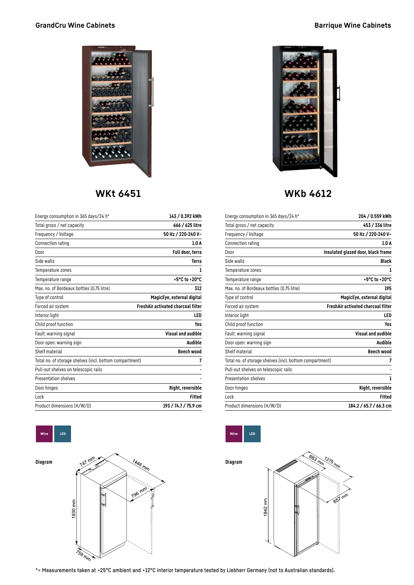#### **Barrique Wine Cabinets**

#### **GrandCru Wine Cabinets**



## **WKt 6451**

| Energy consumption in 365 days/24 h*                    | 143 / 0.392 kWh                           |
|---------------------------------------------------------|-------------------------------------------|
| Total gross / net capacity                              | 666 / 625 litre                           |
| Frequency / Voltage                                     | 50 Hz / 220-240 V~                        |
| Connection rating                                       | 1.0A                                      |
| Door                                                    | Full door, terra                          |
| Side walls                                              | <b>Terra</b>                              |
| Temperature zones                                       | ı                                         |
| Temperature range                                       | +5°C to +20°C                             |
| Max, no. of Bordeaux bottles (0.75 litre)               | 312                                       |
| Type of control                                         | MagicEye, external digital                |
| Forced air system                                       | <b>FreshAir activated charcoal filter</b> |
| Interior light                                          | LED                                       |
| Child proof function                                    | Yes                                       |
| Fault: warning signal                                   | <b>Visual and audible</b>                 |
| Door open: warning sign                                 | <b>Audible</b>                            |
| Shelf material                                          | <b>Beech wood</b>                         |
| Total no. of storage shelves (incl. bottom compartment) | 7                                         |
| Pull-out shelves on telescopic rails                    |                                           |
| <b>Presentation shelves</b>                             |                                           |
| Door hinges                                             | Right, reversible                         |
| Lock                                                    | <b>Fitted</b>                             |
| Product dimensions (H/W/D)                              | 193 / 74.7 / 75.9 cm                      |











**WKb 4612**

| Energy consumption in 365 days/24 h*                    | 204 / 0.559 kWh                           |
|---------------------------------------------------------|-------------------------------------------|
| Total gross / net capacity                              | 453 / 336 litre                           |
| Frequency / Voltage                                     | 50 Hz / 220-240 V~                        |
| Connection rating                                       | 1.0A                                      |
| Door                                                    | Insulated glazed door, black frame        |
| Side walls                                              | <b>Black</b>                              |
| Temperature zones                                       |                                           |
| Temperature range                                       | +5°C to +20°C                             |
| Max, no. of Bordeaux bottles (0.75 litre)               | 195                                       |
| Type of control                                         | MagicEye, external digital                |
| Forced air system                                       | <b>FreshAir activated charcoal filter</b> |
| Interior light                                          | LED                                       |
| Child proof function                                    | Yes                                       |
| Fault: warning signal                                   | <b>Visual and audible</b>                 |
| Door open: warning sign                                 | <b>Audible</b>                            |
| Shelf material                                          | <b>Beech wood</b>                         |
| Total no. of storage shelves (incl. bottom compartment) | 7                                         |
| Pull-out shelves on telescopic rails                    |                                           |
| <b>Presentation shelves</b>                             | ı                                         |
| Door hinges                                             | Right, reversible                         |
| Lock                                                    | <b>Fitted</b>                             |
| Product dimensions (H/W/D)                              | 184.2 / 65.7 / 66.3 cm                    |





\*= Measurements taken at +25°C ambient and +12°C interior temperature tested by Liebherr Germany (not to Australian standards).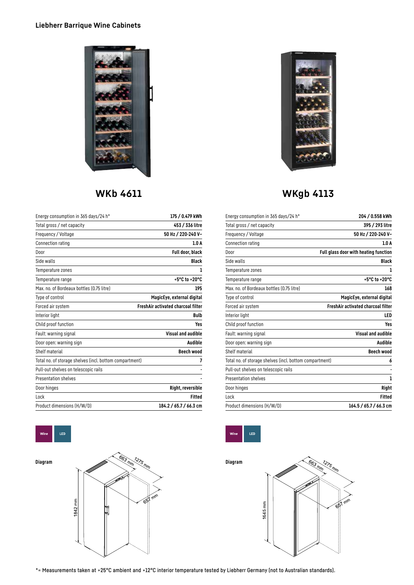

# **WKb 4611**

| Energy consumption in 365 days/24 h*                    | 175 / 0.479 kWh                           |
|---------------------------------------------------------|-------------------------------------------|
| Total gross / net capacity                              | 453 / 336 litre                           |
| Frequency / Voltage                                     | 50 Hz / 220-240 V~                        |
| Connection rating                                       | 1.0A                                      |
| Door                                                    | <b>Full door, black</b>                   |
| Side walls                                              | <b>Black</b>                              |
| Temperature zones                                       | ı                                         |
| Temperature range                                       | +5°C to +20°C                             |
| Max, no. of Bordeaux bottles (0.75 litre)               | 195                                       |
| Type of control                                         | MagicEye, external digital                |
| Forced air system                                       | <b>FreshAir activated charcoal filter</b> |
| Interior light                                          | <b>Bulb</b>                               |
| Child proof function                                    | Yes                                       |
| Fault: warning signal                                   | <b>Visual and audible</b>                 |
| Door open: warning sign                                 | <b>Audible</b>                            |
| Shelf material                                          | <b>Beech wood</b>                         |
| Total no. of storage shelves (incl. bottom compartment) | 7                                         |
| Pull-out shelves on telescopic rails                    |                                           |
| <b>Presentation shelves</b>                             |                                           |
| Door hinges                                             | Right, reversible                         |
| Lock                                                    | <b>Fitted</b>                             |
| Product dimensions (H/W/D)                              | 184.2 / 65.7 / 66.3 cm                    |
|                                                         |                                           |



**Diagram**





# **WKgb 4113**

| Energy consumption in 365 days/24 h*                    | 204 / 0.558 kWh                              |
|---------------------------------------------------------|----------------------------------------------|
| Total gross / net capacity                              | 395 / 293 litre                              |
| Frequency / Voltage                                     | 50 Hz / 220-240 V~                           |
| Connection rating                                       | 1.0A                                         |
| Door                                                    | <b>Full glass door with heating function</b> |
| Side walls                                              | <b>Black</b>                                 |
| Temperature zones                                       | ı                                            |
| Temperature range                                       | +5°C to +20°C                                |
| Max, no. of Bordeaux bottles (0.75 litre)               | 168                                          |
| Type of control                                         | MagicEye, external digital                   |
| Forced air system                                       | <b>FreshAir activated charcoal filter</b>    |
| Interior light                                          | LED                                          |
| Child proof function                                    | Yes                                          |
| Fault: warning signal                                   | <b>Visual and audible</b>                    |
| Door open: warning sign                                 | <b>Audible</b>                               |
| Shelf material                                          | <b>Beech wood</b>                            |
| Total no. of storage shelves (incl. bottom compartment) | 6                                            |
| Pull-out shelves on telescopic rails                    |                                              |
| <b>Presentation shelves</b>                             | ı                                            |
| Door hinges                                             | <b>Right</b>                                 |
| Lock                                                    | <b>Fitted</b>                                |
| Product dimensions (H/W/D)                              | 164.5 / 65.7 / 66.3 cm                       |



**Diagram**

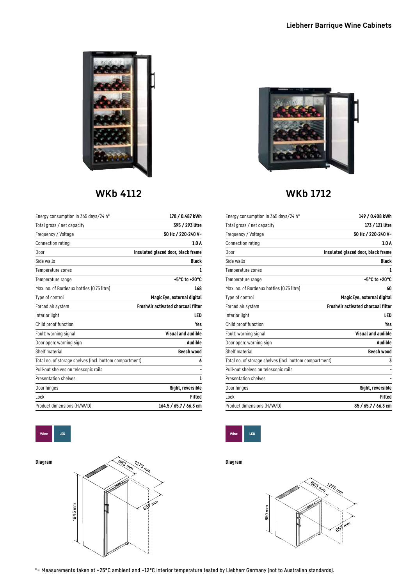

# **WKb 4112**

| Energy consumption in 365 days/24 h*                    | 178 / 0.487 kWh                           |
|---------------------------------------------------------|-------------------------------------------|
| Total gross / net capacity                              | 395 / 293 litre                           |
| Frequency / Voltage                                     | 50 Hz / 220-240 V~                        |
| Connection rating                                       | 1.0A                                      |
| Door                                                    | Insulated glazed door, black frame        |
| Side walls                                              | <b>Black</b>                              |
| Temperature zones                                       | ı                                         |
| Temperature range                                       | +5°C to +20°C                             |
| Max. no. of Bordeaux bottles (0.75 litre)               | 168                                       |
| Type of control                                         | MagicEye, external digital                |
| Forced air system                                       | <b>FreshAir activated charcoal filter</b> |
| Interior light                                          | LED                                       |
| Child proof function                                    | Yes                                       |
| Fault: warning signal                                   | <b>Visual and audible</b>                 |
| Door open: warning sign                                 | <b>Audible</b>                            |
| Shelf material                                          | <b>Beech wood</b>                         |
| Total no. of storage shelves (incl. bottom compartment) | 6                                         |
| Pull-out shelves on telescopic rails                    |                                           |
| <b>Presentation shelves</b>                             | ı                                         |
| Door hinges                                             | Right, reversible                         |
| Lock                                                    | <b>Fitted</b>                             |
| Product dimensions (H/W/D)                              | 164.5 / 65.7 / 66.3 cm                    |







**WKb 1712**

| Energy consumption in 365 days/24 h*                    | 149 / 0.408 kWh                           |
|---------------------------------------------------------|-------------------------------------------|
| Total gross / net capacity                              | 173 / 121 litre                           |
| Frequency / Voltage                                     | 50 Hz / 220-240 V~                        |
| Connection rating                                       | 1.0A                                      |
| Door                                                    | Insulated glazed door, black frame        |
| Side walls                                              | <b>Black</b>                              |
| Temperature zones                                       | ı                                         |
| Temperature range                                       | +5°C to +20°C                             |
| Max, no. of Bordeaux bottles (0.75 litre)               | 60                                        |
| Type of control                                         | MagicEye, external digital                |
| Forced air system                                       | <b>FreshAir activated charcoal filter</b> |
| Interior light                                          | LED                                       |
| Child proof function                                    | Yes                                       |
| Fault: warning signal                                   | <b>Visual and audible</b>                 |
| Door open: warning sign                                 | <b>Audible</b>                            |
| Shelf material                                          | <b>Beech wood</b>                         |
| Total no. of storage shelves (incl. bottom compartment) | 3                                         |
| Pull-out shelves on telescopic rails                    |                                           |
| <b>Presentation shelves</b>                             |                                           |
| Door hinges                                             | Right, reversible                         |
| Lock                                                    | <b>Fitted</b>                             |
| Product dimensions (H/W/D)                              | 85 / 65.7 / 66.3 cm                       |
|                                                         |                                           |



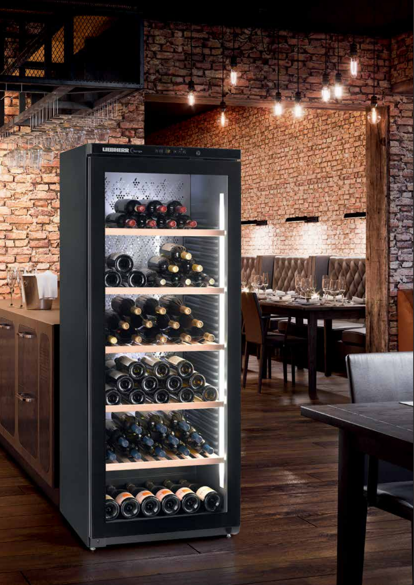